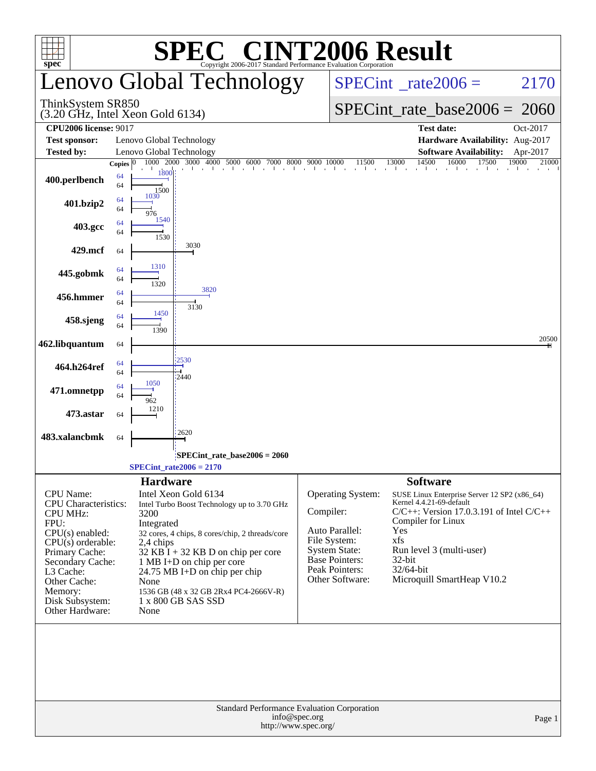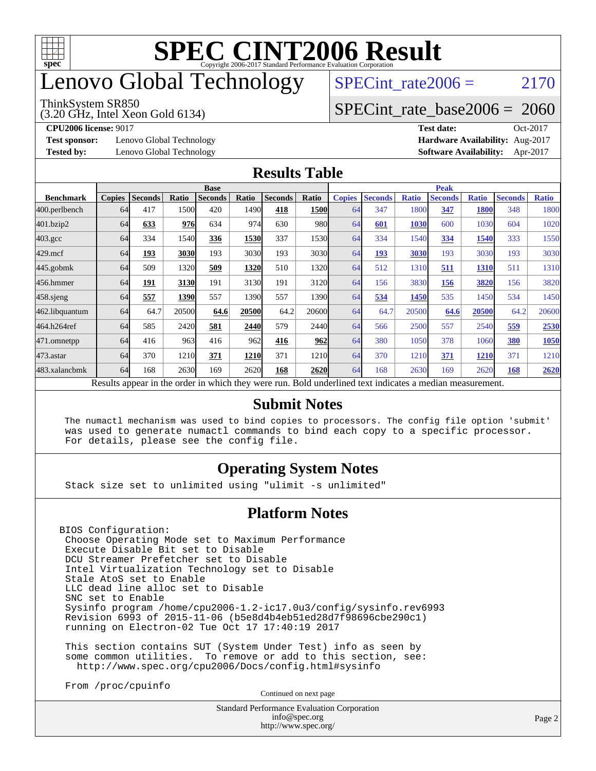

# enovo Global Technology

#### ThinkSystem SR850

(3.20 GHz, Intel Xeon Gold 6134)

SPECint rate $2006 = 2170$ 

### [SPECint\\_rate\\_base2006 =](http://www.spec.org/auto/cpu2006/Docs/result-fields.html#SPECintratebase2006) 2060

**[Test sponsor:](http://www.spec.org/auto/cpu2006/Docs/result-fields.html#Testsponsor)** Lenovo Global Technology **[Hardware Availability:](http://www.spec.org/auto/cpu2006/Docs/result-fields.html#HardwareAvailability)** Aug-2017

**[CPU2006 license:](http://www.spec.org/auto/cpu2006/Docs/result-fields.html#CPU2006license)** 9017 **[Test date:](http://www.spec.org/auto/cpu2006/Docs/result-fields.html#Testdate)** Oct-2017 **[Tested by:](http://www.spec.org/auto/cpu2006/Docs/result-fields.html#Testedby)** Lenovo Global Technology **[Software Availability:](http://www.spec.org/auto/cpu2006/Docs/result-fields.html#SoftwareAvailability)** Apr-2017

### **[Results Table](http://www.spec.org/auto/cpu2006/Docs/result-fields.html#ResultsTable)**

|                    | <b>Base</b>   |                |       |                |       |                |       | <b>Peak</b>   |                |              |                                                                                                          |              |                |              |
|--------------------|---------------|----------------|-------|----------------|-------|----------------|-------|---------------|----------------|--------------|----------------------------------------------------------------------------------------------------------|--------------|----------------|--------------|
| <b>Benchmark</b>   | <b>Copies</b> | <b>Seconds</b> | Ratio | <b>Seconds</b> | Ratio | <b>Seconds</b> | Ratio | <b>Copies</b> | <b>Seconds</b> | <b>Ratio</b> | <b>Seconds</b>                                                                                           | <b>Ratio</b> | <b>Seconds</b> | <b>Ratio</b> |
| 400.perlbench      | 64            | 417            | 1500  | 420            | 1490  | 418            | 1500  | 64            | 347            | 1800         | 347                                                                                                      | 1800         | 348            | 1800         |
| 401.bzip2          | 64            | 633            | 976   | 634            | 974   | 630            | 980l  | 64            | 601            | 1030         | 600                                                                                                      | 1030         | 604            | 1020         |
| $403.\mathrm{gcc}$ | 64            | 334            | 1540  | 336            | 1530  | 337            | 1530  | 64            | 334            | 1540         | 334                                                                                                      | 1540         | 333            | 1550         |
| $429$ .mcf         | 64            | 193            | 3030  | 193            | 3030  | 193            | 3030  | 64            | 193            | 3030         | 193                                                                                                      | 3030         | 193            | 3030         |
| $445$ .gobmk       | 64            | 509            | 1320  | 509            | 1320  | 510            | 1320  | 64            | 512            | 1310         | 511                                                                                                      | 1310         | 511            | 1310         |
| 456.hmmer          | 64            | 191            | 3130  | 191            | 3130  | 191            | 3120  | 64            | 156            | 3830         | 156                                                                                                      | 3820         | 156            | 3820         |
| $458$ .sjeng       | 64            | 557            | 1390  | 557            | 1390  | 557            | 1390  | 64            | 534            | 1450         | 535                                                                                                      | 1450         | 534            | 1450         |
| 462.libquantum     | 64            | 64.7           | 20500 | 64.6           | 20500 | 64.2           | 20600 | 64            | 64.7           | 20500        | 64.6                                                                                                     | 20500        | 64.2           | 20600        |
| 464.h264ref        | 64            | 585            | 2420  | 581            | 2440  | 579            | 2440  | 64            | 566            | 2500         | 557                                                                                                      | 2540         | 559            | 2530         |
| 471.omnetpp        | 64            | 416            | 963   | 416            | 962   | 416            | 962   | 64            | 380            | 1050         | 378                                                                                                      | 1060         | <b>380</b>     | 1050         |
| 473.astar          | 64            | 370            | 1210  | 371            | 1210  | 371            | 1210  | 64            | 370            | 1210         | 371                                                                                                      | 1210         | 371            | 1210         |
| 483.xalancbmk      | 64            | 168            | 2630  | 169            | 2620  | 168            | 2620  | 64            | 168            | 2630         | 169                                                                                                      | 2620         | 168            | 2620         |
|                    |               |                |       |                |       |                |       |               |                |              | Results appear in the order in which they were run. Bold underlined text indicates a median measurement. |              |                |              |

### **[Submit Notes](http://www.spec.org/auto/cpu2006/Docs/result-fields.html#SubmitNotes)**

 The numactl mechanism was used to bind copies to processors. The config file option 'submit' was used to generate numactl commands to bind each copy to a specific processor. For details, please see the config file.

### **[Operating System Notes](http://www.spec.org/auto/cpu2006/Docs/result-fields.html#OperatingSystemNotes)**

Stack size set to unlimited using "ulimit -s unlimited"

### **[Platform Notes](http://www.spec.org/auto/cpu2006/Docs/result-fields.html#PlatformNotes)**

BIOS Configuration: Choose Operating Mode set to Maximum Performance Execute Disable Bit set to Disable DCU Streamer Prefetcher set to Disable Intel Virtualization Technology set to Disable Stale AtoS set to Enable LLC dead line alloc set to Disable SNC set to Enable Sysinfo program /home/cpu2006-1.2-ic17.0u3/config/sysinfo.rev6993 Revision 6993 of 2015-11-06 (b5e8d4b4eb51ed28d7f98696cbe290c1) running on Electron-02 Tue Oct 17 17:40:19 2017

 This section contains SUT (System Under Test) info as seen by some common utilities. To remove or add to this section, see: <http://www.spec.org/cpu2006/Docs/config.html#sysinfo>

From /proc/cpuinfo

Continued on next page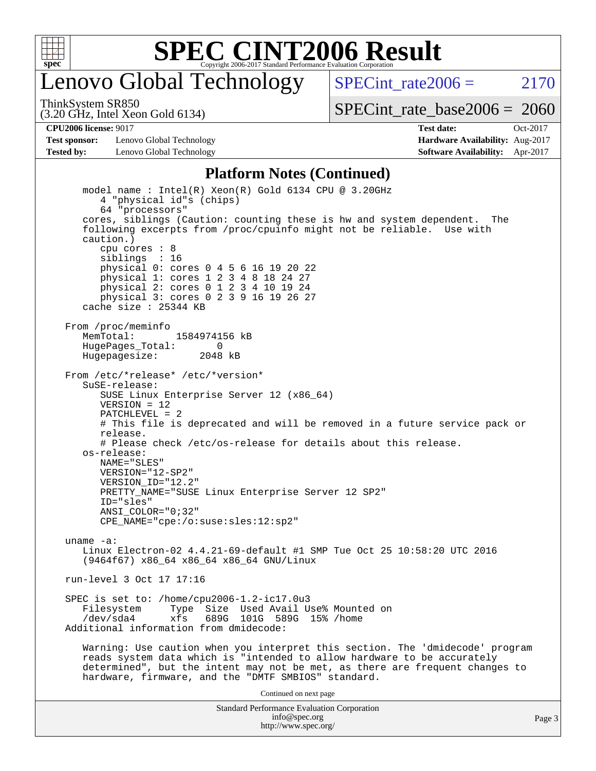

### enovo Global Technology

SPECint rate  $2006 = 2170$ 

(3.20 GHz, Intel Xeon Gold 6134) ThinkSystem SR850

[SPECint\\_rate\\_base2006 =](http://www.spec.org/auto/cpu2006/Docs/result-fields.html#SPECintratebase2006) 2060

**[Test sponsor:](http://www.spec.org/auto/cpu2006/Docs/result-fields.html#Testsponsor)** Lenovo Global Technology **[Hardware Availability:](http://www.spec.org/auto/cpu2006/Docs/result-fields.html#HardwareAvailability)** Aug-2017 **[Tested by:](http://www.spec.org/auto/cpu2006/Docs/result-fields.html#Testedby)** Lenovo Global Technology **[Software Availability:](http://www.spec.org/auto/cpu2006/Docs/result-fields.html#SoftwareAvailability)** Apr-2017

**[CPU2006 license:](http://www.spec.org/auto/cpu2006/Docs/result-fields.html#CPU2006license)** 9017 **[Test date:](http://www.spec.org/auto/cpu2006/Docs/result-fields.html#Testdate)** Oct-2017

#### **[Platform Notes \(Continued\)](http://www.spec.org/auto/cpu2006/Docs/result-fields.html#PlatformNotes)**

Standard Performance Evaluation Corporation [info@spec.org](mailto:info@spec.org) Page 3 model name : Intel(R) Xeon(R) Gold 6134 CPU @ 3.20GHz 4 "physical id"s (chips) 64 "processors" cores, siblings (Caution: counting these is hw and system dependent. The following excerpts from /proc/cpuinfo might not be reliable. Use with caution.) cpu cores : 8 siblings : 16 physical 0: cores 0 4 5 6 16 19 20 22 physical 1: cores 1 2 3 4 8 18 24 27 physical 2: cores 0 1 2 3 4 10 19 24 physical 3: cores 0 2 3 9 16 19 26 27 cache size : 25344 KB From /proc/meminfo MemTotal: 1584974156 kB<br>HugeBages Total: 0 HugePages\_Total: 0 Hugepagesize: 2048 kB From /etc/\*release\* /etc/\*version\* SuSE-release: SUSE Linux Enterprise Server 12 (x86\_64)  $VFRSTON = 12$  PATCHLEVEL = 2 # This file is deprecated and will be removed in a future service pack or release. # Please check /etc/os-release for details about this release. os-release: NAME="SLES" VERSION="12-SP2" VERSION\_ID="12.2" PRETTY\_NAME="SUSE Linux Enterprise Server 12 SP2" ID="sles" ANSI\_COLOR="0;32" CPE\_NAME="cpe:/o:suse:sles:12:sp2" uname -a: Linux Electron-02 4.4.21-69-default #1 SMP Tue Oct 25 10:58:20 UTC 2016 (9464f67) x86\_64 x86\_64 x86\_64 GNU/Linux run-level 3 Oct 17 17:16 SPEC is set to: /home/cpu2006-1.2-ic17.0u3 Type Size Used Avail Use% Mounted on /dev/sda4 xfs 689G 101G 589G 15% /home Additional information from dmidecode: Warning: Use caution when you interpret this section. The 'dmidecode' program reads system data which is "intended to allow hardware to be accurately determined", but the intent may not be met, as there are frequent changes to hardware, firmware, and the "DMTF SMBIOS" standard. Continued on next page

<http://www.spec.org/>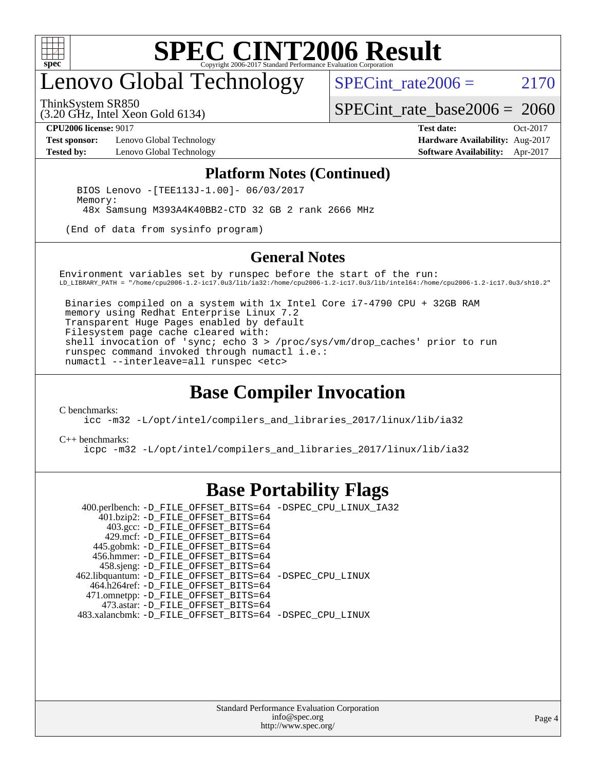

### enovo Global Technology

ThinkSystem SR850

SPECint rate $2006 = 2170$ 

(3.20 GHz, Intel Xeon Gold 6134)

**[Test sponsor:](http://www.spec.org/auto/cpu2006/Docs/result-fields.html#Testsponsor)** Lenovo Global Technology **[Hardware Availability:](http://www.spec.org/auto/cpu2006/Docs/result-fields.html#HardwareAvailability)** Aug-2017

[SPECint\\_rate\\_base2006 =](http://www.spec.org/auto/cpu2006/Docs/result-fields.html#SPECintratebase2006) 2060 **[CPU2006 license:](http://www.spec.org/auto/cpu2006/Docs/result-fields.html#CPU2006license)** 9017 **[Test date:](http://www.spec.org/auto/cpu2006/Docs/result-fields.html#Testdate)** Oct-2017

**[Tested by:](http://www.spec.org/auto/cpu2006/Docs/result-fields.html#Testedby)** Lenovo Global Technology **[Software Availability:](http://www.spec.org/auto/cpu2006/Docs/result-fields.html#SoftwareAvailability)** Apr-2017

#### **[Platform Notes \(Continued\)](http://www.spec.org/auto/cpu2006/Docs/result-fields.html#PlatformNotes)**

 BIOS Lenovo -[TEE113J-1.00]- 06/03/2017 Memory: 48x Samsung M393A4K40BB2-CTD 32 GB 2 rank 2666 MHz

(End of data from sysinfo program)

#### **[General Notes](http://www.spec.org/auto/cpu2006/Docs/result-fields.html#GeneralNotes)**

Environment variables set by runspec before the start of the run: LD\_LIBRARY\_PATH = "/home/cpu2006-1.2-ic17.0u3/lib/ia32:/home/cpu2006-1.2-ic17.0u3/lib/intel64:/home/cpu2006-1.2-ic17.0u3/sh10.2"

 Binaries compiled on a system with 1x Intel Core i7-4790 CPU + 32GB RAM memory using Redhat Enterprise Linux 7.2 Transparent Huge Pages enabled by default Filesystem page cache cleared with: shell invocation of 'sync; echo 3 > /proc/sys/vm/drop\_caches' prior to run runspec command invoked through numactl i.e.: numactl --interleave=all runspec <etc>

### **[Base Compiler Invocation](http://www.spec.org/auto/cpu2006/Docs/result-fields.html#BaseCompilerInvocation)**

[C benchmarks](http://www.spec.org/auto/cpu2006/Docs/result-fields.html#Cbenchmarks):

[icc -m32 -L/opt/intel/compilers\\_and\\_libraries\\_2017/linux/lib/ia32](http://www.spec.org/cpu2006/results/res2017q4/cpu2006-20171211-51113.flags.html#user_CCbase_intel_icc_c29f3ff5a7ed067b11e4ec10a03f03ae)

[C++ benchmarks:](http://www.spec.org/auto/cpu2006/Docs/result-fields.html#CXXbenchmarks)

[icpc -m32 -L/opt/intel/compilers\\_and\\_libraries\\_2017/linux/lib/ia32](http://www.spec.org/cpu2006/results/res2017q4/cpu2006-20171211-51113.flags.html#user_CXXbase_intel_icpc_8c35c7808b62dab9ae41a1aa06361b6b)

### **[Base Portability Flags](http://www.spec.org/auto/cpu2006/Docs/result-fields.html#BasePortabilityFlags)**

 400.perlbench: [-D\\_FILE\\_OFFSET\\_BITS=64](http://www.spec.org/cpu2006/results/res2017q4/cpu2006-20171211-51113.flags.html#user_basePORTABILITY400_perlbench_file_offset_bits_64_438cf9856305ebd76870a2c6dc2689ab) [-DSPEC\\_CPU\\_LINUX\\_IA32](http://www.spec.org/cpu2006/results/res2017q4/cpu2006-20171211-51113.flags.html#b400.perlbench_baseCPORTABILITY_DSPEC_CPU_LINUX_IA32) 401.bzip2: [-D\\_FILE\\_OFFSET\\_BITS=64](http://www.spec.org/cpu2006/results/res2017q4/cpu2006-20171211-51113.flags.html#user_basePORTABILITY401_bzip2_file_offset_bits_64_438cf9856305ebd76870a2c6dc2689ab) 403.gcc: [-D\\_FILE\\_OFFSET\\_BITS=64](http://www.spec.org/cpu2006/results/res2017q4/cpu2006-20171211-51113.flags.html#user_basePORTABILITY403_gcc_file_offset_bits_64_438cf9856305ebd76870a2c6dc2689ab) 429.mcf: [-D\\_FILE\\_OFFSET\\_BITS=64](http://www.spec.org/cpu2006/results/res2017q4/cpu2006-20171211-51113.flags.html#user_basePORTABILITY429_mcf_file_offset_bits_64_438cf9856305ebd76870a2c6dc2689ab) 445.gobmk: [-D\\_FILE\\_OFFSET\\_BITS=64](http://www.spec.org/cpu2006/results/res2017q4/cpu2006-20171211-51113.flags.html#user_basePORTABILITY445_gobmk_file_offset_bits_64_438cf9856305ebd76870a2c6dc2689ab) 456.hmmer: [-D\\_FILE\\_OFFSET\\_BITS=64](http://www.spec.org/cpu2006/results/res2017q4/cpu2006-20171211-51113.flags.html#user_basePORTABILITY456_hmmer_file_offset_bits_64_438cf9856305ebd76870a2c6dc2689ab) 458.sjeng: [-D\\_FILE\\_OFFSET\\_BITS=64](http://www.spec.org/cpu2006/results/res2017q4/cpu2006-20171211-51113.flags.html#user_basePORTABILITY458_sjeng_file_offset_bits_64_438cf9856305ebd76870a2c6dc2689ab) 462.libquantum: [-D\\_FILE\\_OFFSET\\_BITS=64](http://www.spec.org/cpu2006/results/res2017q4/cpu2006-20171211-51113.flags.html#user_basePORTABILITY462_libquantum_file_offset_bits_64_438cf9856305ebd76870a2c6dc2689ab) [-DSPEC\\_CPU\\_LINUX](http://www.spec.org/cpu2006/results/res2017q4/cpu2006-20171211-51113.flags.html#b462.libquantum_baseCPORTABILITY_DSPEC_CPU_LINUX) 464.h264ref: [-D\\_FILE\\_OFFSET\\_BITS=64](http://www.spec.org/cpu2006/results/res2017q4/cpu2006-20171211-51113.flags.html#user_basePORTABILITY464_h264ref_file_offset_bits_64_438cf9856305ebd76870a2c6dc2689ab) 471.omnetpp: [-D\\_FILE\\_OFFSET\\_BITS=64](http://www.spec.org/cpu2006/results/res2017q4/cpu2006-20171211-51113.flags.html#user_basePORTABILITY471_omnetpp_file_offset_bits_64_438cf9856305ebd76870a2c6dc2689ab) 473.astar: [-D\\_FILE\\_OFFSET\\_BITS=64](http://www.spec.org/cpu2006/results/res2017q4/cpu2006-20171211-51113.flags.html#user_basePORTABILITY473_astar_file_offset_bits_64_438cf9856305ebd76870a2c6dc2689ab) 483.xalancbmk: [-D\\_FILE\\_OFFSET\\_BITS=64](http://www.spec.org/cpu2006/results/res2017q4/cpu2006-20171211-51113.flags.html#user_basePORTABILITY483_xalancbmk_file_offset_bits_64_438cf9856305ebd76870a2c6dc2689ab) [-DSPEC\\_CPU\\_LINUX](http://www.spec.org/cpu2006/results/res2017q4/cpu2006-20171211-51113.flags.html#b483.xalancbmk_baseCXXPORTABILITY_DSPEC_CPU_LINUX)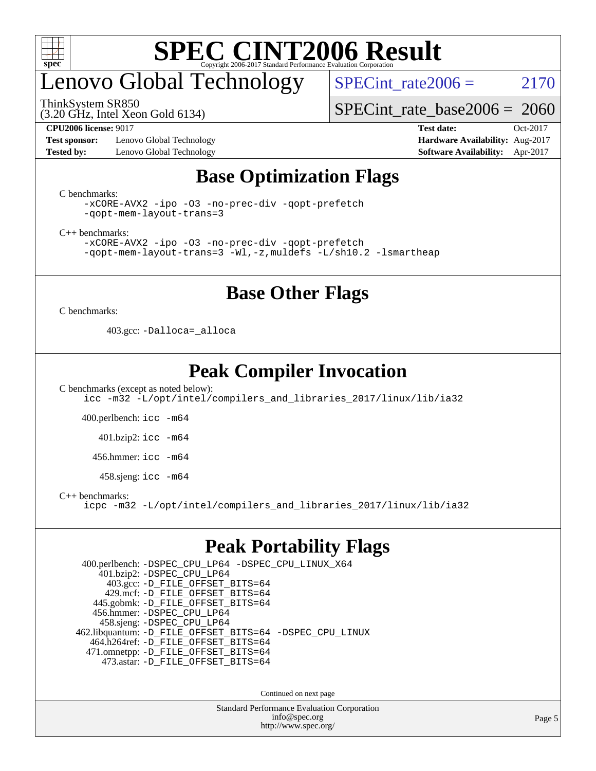

# enovo Global Technology

ThinkSystem SR850

(3.20 GHz, Intel Xeon Gold 6134)

SPECint rate $2006 = 2170$ 

[SPECint\\_rate\\_base2006 =](http://www.spec.org/auto/cpu2006/Docs/result-fields.html#SPECintratebase2006) 2060

**[Test sponsor:](http://www.spec.org/auto/cpu2006/Docs/result-fields.html#Testsponsor)** Lenovo Global Technology **[Hardware Availability:](http://www.spec.org/auto/cpu2006/Docs/result-fields.html#HardwareAvailability)** Aug-2017 **[Tested by:](http://www.spec.org/auto/cpu2006/Docs/result-fields.html#Testedby)** Lenovo Global Technology **[Software Availability:](http://www.spec.org/auto/cpu2006/Docs/result-fields.html#SoftwareAvailability)** Apr-2017

**[CPU2006 license:](http://www.spec.org/auto/cpu2006/Docs/result-fields.html#CPU2006license)** 9017 **[Test date:](http://www.spec.org/auto/cpu2006/Docs/result-fields.html#Testdate)** Oct-2017

### **[Base Optimization Flags](http://www.spec.org/auto/cpu2006/Docs/result-fields.html#BaseOptimizationFlags)**

[C benchmarks](http://www.spec.org/auto/cpu2006/Docs/result-fields.html#Cbenchmarks):

[-xCORE-AVX2](http://www.spec.org/cpu2006/results/res2017q4/cpu2006-20171211-51113.flags.html#user_CCbase_f-xCORE-AVX2) [-ipo](http://www.spec.org/cpu2006/results/res2017q4/cpu2006-20171211-51113.flags.html#user_CCbase_f-ipo) [-O3](http://www.spec.org/cpu2006/results/res2017q4/cpu2006-20171211-51113.flags.html#user_CCbase_f-O3) [-no-prec-div](http://www.spec.org/cpu2006/results/res2017q4/cpu2006-20171211-51113.flags.html#user_CCbase_f-no-prec-div) [-qopt-prefetch](http://www.spec.org/cpu2006/results/res2017q4/cpu2006-20171211-51113.flags.html#user_CCbase_f-qopt-prefetch) [-qopt-mem-layout-trans=3](http://www.spec.org/cpu2006/results/res2017q4/cpu2006-20171211-51113.flags.html#user_CCbase_f-qopt-mem-layout-trans_170f5be61cd2cedc9b54468c59262d5d)

[C++ benchmarks:](http://www.spec.org/auto/cpu2006/Docs/result-fields.html#CXXbenchmarks)

[-xCORE-AVX2](http://www.spec.org/cpu2006/results/res2017q4/cpu2006-20171211-51113.flags.html#user_CXXbase_f-xCORE-AVX2) [-ipo](http://www.spec.org/cpu2006/results/res2017q4/cpu2006-20171211-51113.flags.html#user_CXXbase_f-ipo) [-O3](http://www.spec.org/cpu2006/results/res2017q4/cpu2006-20171211-51113.flags.html#user_CXXbase_f-O3) [-no-prec-div](http://www.spec.org/cpu2006/results/res2017q4/cpu2006-20171211-51113.flags.html#user_CXXbase_f-no-prec-div) [-qopt-prefetch](http://www.spec.org/cpu2006/results/res2017q4/cpu2006-20171211-51113.flags.html#user_CXXbase_f-qopt-prefetch) [-qopt-mem-layout-trans=3](http://www.spec.org/cpu2006/results/res2017q4/cpu2006-20171211-51113.flags.html#user_CXXbase_f-qopt-mem-layout-trans_170f5be61cd2cedc9b54468c59262d5d) [-Wl,-z,muldefs](http://www.spec.org/cpu2006/results/res2017q4/cpu2006-20171211-51113.flags.html#user_CXXbase_link_force_multiple1_74079c344b956b9658436fd1b6dd3a8a) [-L/sh10.2 -lsmartheap](http://www.spec.org/cpu2006/results/res2017q4/cpu2006-20171211-51113.flags.html#user_CXXbase_SmartHeap_b831f2d313e2fffa6dfe3f00ffc1f1c0)

### **[Base Other Flags](http://www.spec.org/auto/cpu2006/Docs/result-fields.html#BaseOtherFlags)**

[C benchmarks](http://www.spec.org/auto/cpu2006/Docs/result-fields.html#Cbenchmarks):

403.gcc: [-Dalloca=\\_alloca](http://www.spec.org/cpu2006/results/res2017q4/cpu2006-20171211-51113.flags.html#b403.gcc_baseEXTRA_CFLAGS_Dalloca_be3056838c12de2578596ca5467af7f3)

### **[Peak Compiler Invocation](http://www.spec.org/auto/cpu2006/Docs/result-fields.html#PeakCompilerInvocation)**

[C benchmarks \(except as noted below\)](http://www.spec.org/auto/cpu2006/Docs/result-fields.html#Cbenchmarksexceptasnotedbelow): [icc -m32 -L/opt/intel/compilers\\_and\\_libraries\\_2017/linux/lib/ia32](http://www.spec.org/cpu2006/results/res2017q4/cpu2006-20171211-51113.flags.html#user_CCpeak_intel_icc_c29f3ff5a7ed067b11e4ec10a03f03ae)

400.perlbench: [icc -m64](http://www.spec.org/cpu2006/results/res2017q4/cpu2006-20171211-51113.flags.html#user_peakCCLD400_perlbench_intel_icc_64bit_bda6cc9af1fdbb0edc3795bac97ada53)

401.bzip2: [icc -m64](http://www.spec.org/cpu2006/results/res2017q4/cpu2006-20171211-51113.flags.html#user_peakCCLD401_bzip2_intel_icc_64bit_bda6cc9af1fdbb0edc3795bac97ada53)

456.hmmer: [icc -m64](http://www.spec.org/cpu2006/results/res2017q4/cpu2006-20171211-51113.flags.html#user_peakCCLD456_hmmer_intel_icc_64bit_bda6cc9af1fdbb0edc3795bac97ada53)

458.sjeng: [icc -m64](http://www.spec.org/cpu2006/results/res2017q4/cpu2006-20171211-51113.flags.html#user_peakCCLD458_sjeng_intel_icc_64bit_bda6cc9af1fdbb0edc3795bac97ada53)

[C++ benchmarks:](http://www.spec.org/auto/cpu2006/Docs/result-fields.html#CXXbenchmarks)

[icpc -m32 -L/opt/intel/compilers\\_and\\_libraries\\_2017/linux/lib/ia32](http://www.spec.org/cpu2006/results/res2017q4/cpu2006-20171211-51113.flags.html#user_CXXpeak_intel_icpc_8c35c7808b62dab9ae41a1aa06361b6b)

### **[Peak Portability Flags](http://www.spec.org/auto/cpu2006/Docs/result-fields.html#PeakPortabilityFlags)**

 400.perlbench: [-DSPEC\\_CPU\\_LP64](http://www.spec.org/cpu2006/results/res2017q4/cpu2006-20171211-51113.flags.html#b400.perlbench_peakCPORTABILITY_DSPEC_CPU_LP64) [-DSPEC\\_CPU\\_LINUX\\_X64](http://www.spec.org/cpu2006/results/res2017q4/cpu2006-20171211-51113.flags.html#b400.perlbench_peakCPORTABILITY_DSPEC_CPU_LINUX_X64) 401.bzip2: [-DSPEC\\_CPU\\_LP64](http://www.spec.org/cpu2006/results/res2017q4/cpu2006-20171211-51113.flags.html#suite_peakCPORTABILITY401_bzip2_DSPEC_CPU_LP64) 403.gcc: [-D\\_FILE\\_OFFSET\\_BITS=64](http://www.spec.org/cpu2006/results/res2017q4/cpu2006-20171211-51113.flags.html#user_peakPORTABILITY403_gcc_file_offset_bits_64_438cf9856305ebd76870a2c6dc2689ab) 429.mcf: [-D\\_FILE\\_OFFSET\\_BITS=64](http://www.spec.org/cpu2006/results/res2017q4/cpu2006-20171211-51113.flags.html#user_peakPORTABILITY429_mcf_file_offset_bits_64_438cf9856305ebd76870a2c6dc2689ab) 445.gobmk: [-D\\_FILE\\_OFFSET\\_BITS=64](http://www.spec.org/cpu2006/results/res2017q4/cpu2006-20171211-51113.flags.html#user_peakPORTABILITY445_gobmk_file_offset_bits_64_438cf9856305ebd76870a2c6dc2689ab) 456.hmmer: [-DSPEC\\_CPU\\_LP64](http://www.spec.org/cpu2006/results/res2017q4/cpu2006-20171211-51113.flags.html#suite_peakCPORTABILITY456_hmmer_DSPEC_CPU_LP64) 458.sjeng: [-DSPEC\\_CPU\\_LP64](http://www.spec.org/cpu2006/results/res2017q4/cpu2006-20171211-51113.flags.html#suite_peakCPORTABILITY458_sjeng_DSPEC_CPU_LP64) 462.libquantum: [-D\\_FILE\\_OFFSET\\_BITS=64](http://www.spec.org/cpu2006/results/res2017q4/cpu2006-20171211-51113.flags.html#user_peakPORTABILITY462_libquantum_file_offset_bits_64_438cf9856305ebd76870a2c6dc2689ab) [-DSPEC\\_CPU\\_LINUX](http://www.spec.org/cpu2006/results/res2017q4/cpu2006-20171211-51113.flags.html#b462.libquantum_peakCPORTABILITY_DSPEC_CPU_LINUX) 464.h264ref: [-D\\_FILE\\_OFFSET\\_BITS=64](http://www.spec.org/cpu2006/results/res2017q4/cpu2006-20171211-51113.flags.html#user_peakPORTABILITY464_h264ref_file_offset_bits_64_438cf9856305ebd76870a2c6dc2689ab) 471.omnetpp: [-D\\_FILE\\_OFFSET\\_BITS=64](http://www.spec.org/cpu2006/results/res2017q4/cpu2006-20171211-51113.flags.html#user_peakPORTABILITY471_omnetpp_file_offset_bits_64_438cf9856305ebd76870a2c6dc2689ab) 473.astar: [-D\\_FILE\\_OFFSET\\_BITS=64](http://www.spec.org/cpu2006/results/res2017q4/cpu2006-20171211-51113.flags.html#user_peakPORTABILITY473_astar_file_offset_bits_64_438cf9856305ebd76870a2c6dc2689ab)

Continued on next page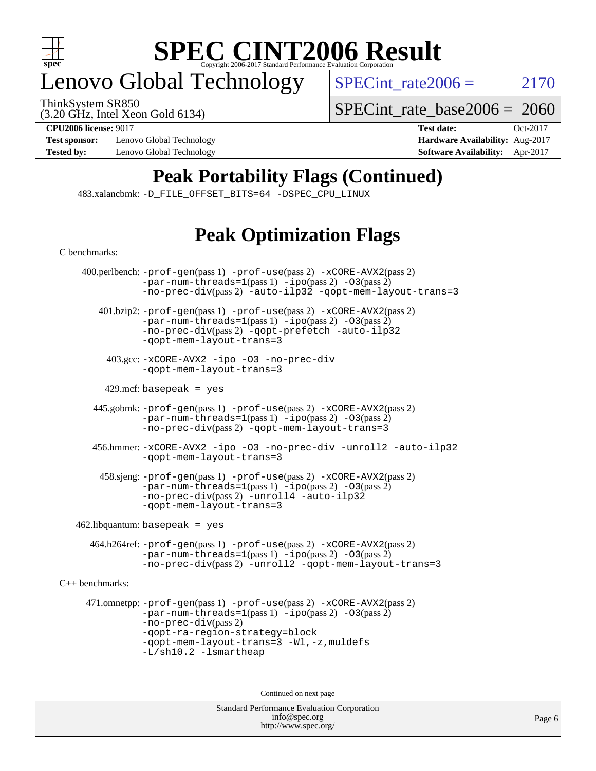

# enovo Global Technology

ThinkSystem SR850

SPECint rate $2006 = 2170$ 

Page 6

(3.20 GHz, Intel Xeon Gold 6134)

**[Test sponsor:](http://www.spec.org/auto/cpu2006/Docs/result-fields.html#Testsponsor)** Lenovo Global Technology **[Hardware Availability:](http://www.spec.org/auto/cpu2006/Docs/result-fields.html#HardwareAvailability)** Aug-2017 **[Tested by:](http://www.spec.org/auto/cpu2006/Docs/result-fields.html#Testedby)** Lenovo Global Technology **[Software Availability:](http://www.spec.org/auto/cpu2006/Docs/result-fields.html#SoftwareAvailability)** Apr-2017

[SPECint\\_rate\\_base2006 =](http://www.spec.org/auto/cpu2006/Docs/result-fields.html#SPECintratebase2006) 2060

**[CPU2006 license:](http://www.spec.org/auto/cpu2006/Docs/result-fields.html#CPU2006license)** 9017 **[Test date:](http://www.spec.org/auto/cpu2006/Docs/result-fields.html#Testdate)** Oct-2017

### **[Peak Portability Flags \(Continued\)](http://www.spec.org/auto/cpu2006/Docs/result-fields.html#PeakPortabilityFlags)**

483.xalancbmk: [-D\\_FILE\\_OFFSET\\_BITS=64](http://www.spec.org/cpu2006/results/res2017q4/cpu2006-20171211-51113.flags.html#user_peakPORTABILITY483_xalancbmk_file_offset_bits_64_438cf9856305ebd76870a2c6dc2689ab) [-DSPEC\\_CPU\\_LINUX](http://www.spec.org/cpu2006/results/res2017q4/cpu2006-20171211-51113.flags.html#b483.xalancbmk_peakCXXPORTABILITY_DSPEC_CPU_LINUX)

### **[Peak Optimization Flags](http://www.spec.org/auto/cpu2006/Docs/result-fields.html#PeakOptimizationFlags)**

[C benchmarks](http://www.spec.org/auto/cpu2006/Docs/result-fields.html#Cbenchmarks): 400.perlbench: [-prof-gen](http://www.spec.org/cpu2006/results/res2017q4/cpu2006-20171211-51113.flags.html#user_peakPASS1_CFLAGSPASS1_LDCFLAGS400_perlbench_prof_gen_e43856698f6ca7b7e442dfd80e94a8fc)(pass 1) [-prof-use](http://www.spec.org/cpu2006/results/res2017q4/cpu2006-20171211-51113.flags.html#user_peakPASS2_CFLAGSPASS2_LDCFLAGS400_perlbench_prof_use_bccf7792157ff70d64e32fe3e1250b55)(pass 2) [-xCORE-AVX2](http://www.spec.org/cpu2006/results/res2017q4/cpu2006-20171211-51113.flags.html#user_peakPASS2_CFLAGSPASS2_LDCFLAGS400_perlbench_f-xCORE-AVX2)(pass 2)  $-par-num-threads=1(pass 1) -ipo(pass 2) -O3(pass 2)$  $-par-num-threads=1(pass 1) -ipo(pass 2) -O3(pass 2)$  $-par-num-threads=1(pass 1) -ipo(pass 2) -O3(pass 2)$  $-par-num-threads=1(pass 1) -ipo(pass 2) -O3(pass 2)$  $-par-num-threads=1(pass 1) -ipo(pass 2) -O3(pass 2)$  $-par-num-threads=1(pass 1) -ipo(pass 2) -O3(pass 2)$ [-no-prec-div](http://www.spec.org/cpu2006/results/res2017q4/cpu2006-20171211-51113.flags.html#user_peakPASS2_CFLAGSPASS2_LDCFLAGS400_perlbench_f-no-prec-div)(pass 2) [-auto-ilp32](http://www.spec.org/cpu2006/results/res2017q4/cpu2006-20171211-51113.flags.html#user_peakCOPTIMIZE400_perlbench_f-auto-ilp32) [-qopt-mem-layout-trans=3](http://www.spec.org/cpu2006/results/res2017q4/cpu2006-20171211-51113.flags.html#user_peakCOPTIMIZE400_perlbench_f-qopt-mem-layout-trans_170f5be61cd2cedc9b54468c59262d5d) 401.bzip2: [-prof-gen](http://www.spec.org/cpu2006/results/res2017q4/cpu2006-20171211-51113.flags.html#user_peakPASS1_CFLAGSPASS1_LDCFLAGS401_bzip2_prof_gen_e43856698f6ca7b7e442dfd80e94a8fc)(pass 1) [-prof-use](http://www.spec.org/cpu2006/results/res2017q4/cpu2006-20171211-51113.flags.html#user_peakPASS2_CFLAGSPASS2_LDCFLAGS401_bzip2_prof_use_bccf7792157ff70d64e32fe3e1250b55)(pass 2) [-xCORE-AVX2](http://www.spec.org/cpu2006/results/res2017q4/cpu2006-20171211-51113.flags.html#user_peakPASS2_CFLAGSPASS2_LDCFLAGS401_bzip2_f-xCORE-AVX2)(pass 2) [-par-num-threads=1](http://www.spec.org/cpu2006/results/res2017q4/cpu2006-20171211-51113.flags.html#user_peakPASS1_CFLAGSPASS1_LDCFLAGS401_bzip2_par_num_threads_786a6ff141b4e9e90432e998842df6c2)(pass 1) [-ipo](http://www.spec.org/cpu2006/results/res2017q4/cpu2006-20171211-51113.flags.html#user_peakPASS2_CFLAGSPASS2_LDCFLAGS401_bzip2_f-ipo)(pass 2) [-O3](http://www.spec.org/cpu2006/results/res2017q4/cpu2006-20171211-51113.flags.html#user_peakPASS2_CFLAGSPASS2_LDCFLAGS401_bzip2_f-O3)(pass 2) [-no-prec-div](http://www.spec.org/cpu2006/results/res2017q4/cpu2006-20171211-51113.flags.html#user_peakPASS2_CFLAGSPASS2_LDCFLAGS401_bzip2_f-no-prec-div)(pass 2) [-qopt-prefetch](http://www.spec.org/cpu2006/results/res2017q4/cpu2006-20171211-51113.flags.html#user_peakCOPTIMIZE401_bzip2_f-qopt-prefetch) [-auto-ilp32](http://www.spec.org/cpu2006/results/res2017q4/cpu2006-20171211-51113.flags.html#user_peakCOPTIMIZE401_bzip2_f-auto-ilp32) [-qopt-mem-layout-trans=3](http://www.spec.org/cpu2006/results/res2017q4/cpu2006-20171211-51113.flags.html#user_peakCOPTIMIZE401_bzip2_f-qopt-mem-layout-trans_170f5be61cd2cedc9b54468c59262d5d) 403.gcc: [-xCORE-AVX2](http://www.spec.org/cpu2006/results/res2017q4/cpu2006-20171211-51113.flags.html#user_peakOPTIMIZE403_gcc_f-xCORE-AVX2) [-ipo](http://www.spec.org/cpu2006/results/res2017q4/cpu2006-20171211-51113.flags.html#user_peakOPTIMIZE403_gcc_f-ipo) [-O3](http://www.spec.org/cpu2006/results/res2017q4/cpu2006-20171211-51113.flags.html#user_peakOPTIMIZE403_gcc_f-O3) [-no-prec-div](http://www.spec.org/cpu2006/results/res2017q4/cpu2006-20171211-51113.flags.html#user_peakOPTIMIZE403_gcc_f-no-prec-div) [-qopt-mem-layout-trans=3](http://www.spec.org/cpu2006/results/res2017q4/cpu2006-20171211-51113.flags.html#user_peakCOPTIMIZE403_gcc_f-qopt-mem-layout-trans_170f5be61cd2cedc9b54468c59262d5d)  $429$ .mcf: basepeak = yes 445.gobmk: [-prof-gen](http://www.spec.org/cpu2006/results/res2017q4/cpu2006-20171211-51113.flags.html#user_peakPASS1_CFLAGSPASS1_LDCFLAGS445_gobmk_prof_gen_e43856698f6ca7b7e442dfd80e94a8fc)(pass 1) [-prof-use](http://www.spec.org/cpu2006/results/res2017q4/cpu2006-20171211-51113.flags.html#user_peakPASS2_CFLAGSPASS2_LDCFLAGSPASS2_LDFLAGS445_gobmk_prof_use_bccf7792157ff70d64e32fe3e1250b55)(pass 2) [-xCORE-AVX2](http://www.spec.org/cpu2006/results/res2017q4/cpu2006-20171211-51113.flags.html#user_peakPASS2_CFLAGSPASS2_LDCFLAGSPASS2_LDFLAGS445_gobmk_f-xCORE-AVX2)(pass 2)  $-par-num-threads=1(pass 1) -ipo(pass 2) -O3(pass 2)$  $-par-num-threads=1(pass 1) -ipo(pass 2) -O3(pass 2)$  $-par-num-threads=1(pass 1) -ipo(pass 2) -O3(pass 2)$  $-par-num-threads=1(pass 1) -ipo(pass 2) -O3(pass 2)$  $-par-num-threads=1(pass 1) -ipo(pass 2) -O3(pass 2)$  $-par-num-threads=1(pass 1) -ipo(pass 2) -O3(pass 2)$ [-no-prec-div](http://www.spec.org/cpu2006/results/res2017q4/cpu2006-20171211-51113.flags.html#user_peakPASS2_LDCFLAGS445_gobmk_f-no-prec-div)(pass 2) [-qopt-mem-layout-trans=3](http://www.spec.org/cpu2006/results/res2017q4/cpu2006-20171211-51113.flags.html#user_peakCOPTIMIZE445_gobmk_f-qopt-mem-layout-trans_170f5be61cd2cedc9b54468c59262d5d) 456.hmmer: [-xCORE-AVX2](http://www.spec.org/cpu2006/results/res2017q4/cpu2006-20171211-51113.flags.html#user_peakOPTIMIZE456_hmmer_f-xCORE-AVX2) [-ipo](http://www.spec.org/cpu2006/results/res2017q4/cpu2006-20171211-51113.flags.html#user_peakOPTIMIZE456_hmmer_f-ipo) [-O3](http://www.spec.org/cpu2006/results/res2017q4/cpu2006-20171211-51113.flags.html#user_peakOPTIMIZE456_hmmer_f-O3) [-no-prec-div](http://www.spec.org/cpu2006/results/res2017q4/cpu2006-20171211-51113.flags.html#user_peakOPTIMIZE456_hmmer_f-no-prec-div) [-unroll2](http://www.spec.org/cpu2006/results/res2017q4/cpu2006-20171211-51113.flags.html#user_peakCOPTIMIZE456_hmmer_f-unroll_784dae83bebfb236979b41d2422d7ec2) [-auto-ilp32](http://www.spec.org/cpu2006/results/res2017q4/cpu2006-20171211-51113.flags.html#user_peakCOPTIMIZE456_hmmer_f-auto-ilp32) [-qopt-mem-layout-trans=3](http://www.spec.org/cpu2006/results/res2017q4/cpu2006-20171211-51113.flags.html#user_peakCOPTIMIZE456_hmmer_f-qopt-mem-layout-trans_170f5be61cd2cedc9b54468c59262d5d) 458.sjeng: [-prof-gen](http://www.spec.org/cpu2006/results/res2017q4/cpu2006-20171211-51113.flags.html#user_peakPASS1_CFLAGSPASS1_LDCFLAGS458_sjeng_prof_gen_e43856698f6ca7b7e442dfd80e94a8fc)(pass 1) [-prof-use](http://www.spec.org/cpu2006/results/res2017q4/cpu2006-20171211-51113.flags.html#user_peakPASS2_CFLAGSPASS2_LDCFLAGS458_sjeng_prof_use_bccf7792157ff70d64e32fe3e1250b55)(pass 2) [-xCORE-AVX2](http://www.spec.org/cpu2006/results/res2017q4/cpu2006-20171211-51113.flags.html#user_peakPASS2_CFLAGSPASS2_LDCFLAGS458_sjeng_f-xCORE-AVX2)(pass 2)  $-par-num-threads=1(pass 1) -ipo(pass 2) -O3(pass 2)$  $-par-num-threads=1(pass 1) -ipo(pass 2) -O3(pass 2)$  $-par-num-threads=1(pass 1) -ipo(pass 2) -O3(pass 2)$  $-par-num-threads=1(pass 1) -ipo(pass 2) -O3(pass 2)$  $-par-num-threads=1(pass 1) -ipo(pass 2) -O3(pass 2)$  $-par-num-threads=1(pass 1) -ipo(pass 2) -O3(pass 2)$ [-no-prec-div](http://www.spec.org/cpu2006/results/res2017q4/cpu2006-20171211-51113.flags.html#user_peakPASS2_CFLAGSPASS2_LDCFLAGS458_sjeng_f-no-prec-div)(pass 2) [-unroll4](http://www.spec.org/cpu2006/results/res2017q4/cpu2006-20171211-51113.flags.html#user_peakCOPTIMIZE458_sjeng_f-unroll_4e5e4ed65b7fd20bdcd365bec371b81f) [-auto-ilp32](http://www.spec.org/cpu2006/results/res2017q4/cpu2006-20171211-51113.flags.html#user_peakCOPTIMIZE458_sjeng_f-auto-ilp32) [-qopt-mem-layout-trans=3](http://www.spec.org/cpu2006/results/res2017q4/cpu2006-20171211-51113.flags.html#user_peakCOPTIMIZE458_sjeng_f-qopt-mem-layout-trans_170f5be61cd2cedc9b54468c59262d5d)  $462$ .libquantum: basepeak = yes 464.h264ref: [-prof-gen](http://www.spec.org/cpu2006/results/res2017q4/cpu2006-20171211-51113.flags.html#user_peakPASS1_CFLAGSPASS1_LDCFLAGS464_h264ref_prof_gen_e43856698f6ca7b7e442dfd80e94a8fc)(pass 1) [-prof-use](http://www.spec.org/cpu2006/results/res2017q4/cpu2006-20171211-51113.flags.html#user_peakPASS2_CFLAGSPASS2_LDCFLAGS464_h264ref_prof_use_bccf7792157ff70d64e32fe3e1250b55)(pass 2) [-xCORE-AVX2](http://www.spec.org/cpu2006/results/res2017q4/cpu2006-20171211-51113.flags.html#user_peakPASS2_CFLAGSPASS2_LDCFLAGS464_h264ref_f-xCORE-AVX2)(pass 2)  $-$ par-num-threads=1(pass 1)  $-$ ipo(pass 2)  $-$ O3(pass 2) [-no-prec-div](http://www.spec.org/cpu2006/results/res2017q4/cpu2006-20171211-51113.flags.html#user_peakPASS2_CFLAGSPASS2_LDCFLAGS464_h264ref_f-no-prec-div)(pass 2) [-unroll2](http://www.spec.org/cpu2006/results/res2017q4/cpu2006-20171211-51113.flags.html#user_peakCOPTIMIZE464_h264ref_f-unroll_784dae83bebfb236979b41d2422d7ec2) [-qopt-mem-layout-trans=3](http://www.spec.org/cpu2006/results/res2017q4/cpu2006-20171211-51113.flags.html#user_peakCOPTIMIZE464_h264ref_f-qopt-mem-layout-trans_170f5be61cd2cedc9b54468c59262d5d) [C++ benchmarks:](http://www.spec.org/auto/cpu2006/Docs/result-fields.html#CXXbenchmarks) 471.omnetpp: [-prof-gen](http://www.spec.org/cpu2006/results/res2017q4/cpu2006-20171211-51113.flags.html#user_peakPASS1_CXXFLAGSPASS1_LDCXXFLAGS471_omnetpp_prof_gen_e43856698f6ca7b7e442dfd80e94a8fc)(pass 1) [-prof-use](http://www.spec.org/cpu2006/results/res2017q4/cpu2006-20171211-51113.flags.html#user_peakPASS2_CXXFLAGSPASS2_LDCXXFLAGS471_omnetpp_prof_use_bccf7792157ff70d64e32fe3e1250b55)(pass 2) [-xCORE-AVX2](http://www.spec.org/cpu2006/results/res2017q4/cpu2006-20171211-51113.flags.html#user_peakPASS2_CXXFLAGSPASS2_LDCXXFLAGS471_omnetpp_f-xCORE-AVX2)(pass 2)  $-par-num-threads=1(pass 1) -ipo(pass 2) -O3(pass 2)$  $-par-num-threads=1(pass 1) -ipo(pass 2) -O3(pass 2)$  $-par-num-threads=1(pass 1) -ipo(pass 2) -O3(pass 2)$  $-par-num-threads=1(pass 1) -ipo(pass 2) -O3(pass 2)$  $-par-num-threads=1(pass 1) -ipo(pass 2) -O3(pass 2)$  $-par-num-threads=1(pass 1) -ipo(pass 2) -O3(pass 2)$ [-no-prec-div](http://www.spec.org/cpu2006/results/res2017q4/cpu2006-20171211-51113.flags.html#user_peakPASS2_CXXFLAGSPASS2_LDCXXFLAGS471_omnetpp_f-no-prec-div)(pass 2) [-qopt-ra-region-strategy=block](http://www.spec.org/cpu2006/results/res2017q4/cpu2006-20171211-51113.flags.html#user_peakCXXOPTIMIZE471_omnetpp_f-qopt-ra-region-strategy_430aa8f7c220cbde92ae827fa8d9be32)  [-qopt-mem-layout-trans=3](http://www.spec.org/cpu2006/results/res2017q4/cpu2006-20171211-51113.flags.html#user_peakCXXOPTIMIZE471_omnetpp_f-qopt-mem-layout-trans_170f5be61cd2cedc9b54468c59262d5d) [-Wl,-z,muldefs](http://www.spec.org/cpu2006/results/res2017q4/cpu2006-20171211-51113.flags.html#user_peakEXTRA_LDFLAGS471_omnetpp_link_force_multiple1_74079c344b956b9658436fd1b6dd3a8a) [-L/sh10.2 -lsmartheap](http://www.spec.org/cpu2006/results/res2017q4/cpu2006-20171211-51113.flags.html#user_peakEXTRA_LIBS471_omnetpp_SmartHeap_b831f2d313e2fffa6dfe3f00ffc1f1c0) Continued on next page